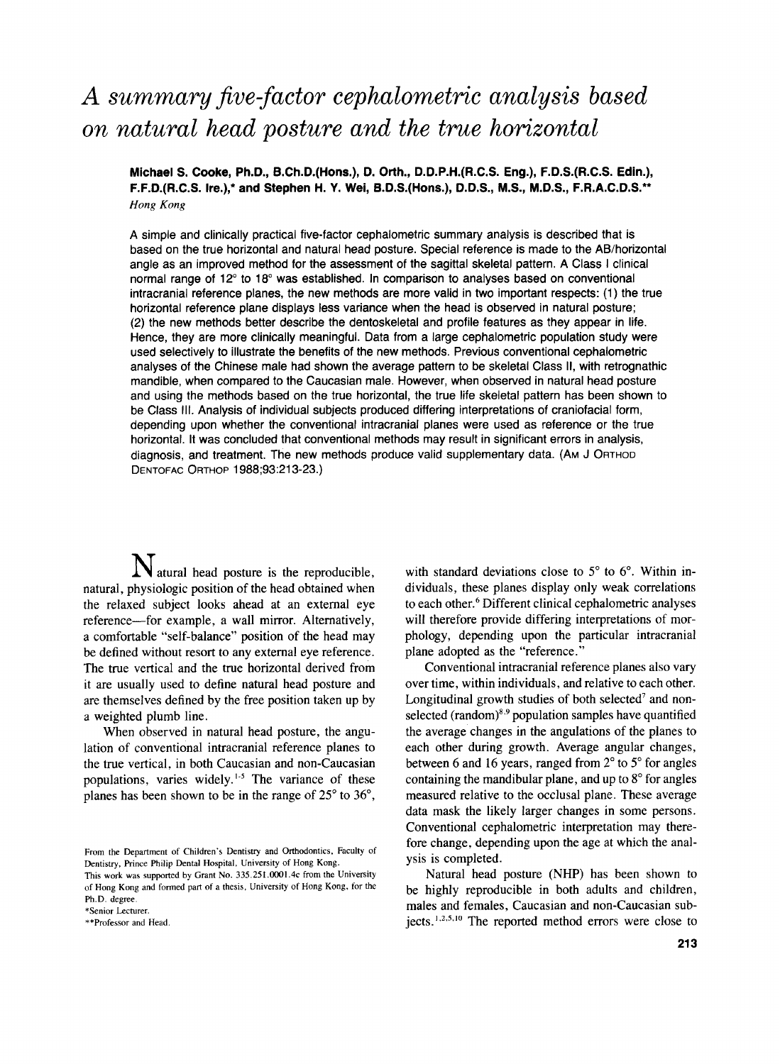# *A summary five-factor cephalometric analysis based on natural head posture and the true horizontal*

**Michael S. Cooke, Ph.D., B.Ch.D.(Hons.), D. Orth., D.D.P.H.(R.C.S. Eng.), F.D.S.(R.C.S. Edin.), F.F.D.(R.C.S. Ire.),\* and Stephen H. Y. Wei, B.D.S.(Hons.), D.D.S., M.S., M.D.S., F.R.A.C.D.S.\*\***  *Hong Kong* 

A simple and clinically practical five-factor cephalometric summary analysis is described that is based on the true horizontal and natural head posture. Special reference is made to the AB/horizontal angle as an improved method for the assessment of the sagittal skeletal pattern. A Class I clinical normal range of 12° to 18° was established. In comparison to analyses based on conventional intracranial reference planes, the new methods are more valid in two important respects: (1) the true horizontal reference plane displays less variance when the head is observed in natural posture; (2) the new methods better describe the dentoskeletal and profile features as they appear in life. Hence, they are more clinically meaningful. Data from a large cephalometric population study were used selectively to illustrate the benefits of the new methods. Previous conventional cephalometric analyses of the Chinese male had shown the average pattern to be skeletal Class II, with retrognathic mandible, when compared to the Caucasian male. However, when observed in natural head posture and using the methods based on the true horizontal, the true life skeletal pattern has been shown to be Class III. Analysis of individual subjects produced differing interpretations of craniofacial form, depending upon whether the conventional intracranial planes were used as reference or the true horizontal. It was concluded that conventional methods may result in significant errors in analysis, diagnosis, and treatment. The new methods produce valid supplementary data. (AM J ORTHOD DENTOFAC ORTHOP 1988;93:213-23.)

 $N$  atural head posture is the reproducible, natural, physiologic position of the head obtained when the relaxed subject looks ahead at an external eye reference—for example, a wall mirror. Alternatively, a comfortable "self-balance" position of the head may be defined without resort to any external eye reference. The true vertical and the true horizontal derived from it are usually used to define natural head posture and are themselves defined by the free position taken up by a weighted plumb line.

When observed in natural head posture, the angulation of conventional intracranial reference planes to the true vertical, in both Caucasian and non-Caucasian populations, varies widely.<sup> $1-5$ </sup> The variance of these planes has been shown to be in the range of  $25^{\circ}$  to  $36^{\circ}$ ,

This work was supported by Grant No. 335.251.0001.4c from the University of Hong Kong and formed part of a thesis, University of Hong Kong, for the Ph.D. degree.

\*Senior Lecturer.

\*\*Professor and Head.

with standard deviations close to  $5^{\circ}$  to  $6^{\circ}$ . Within individuals, these planes display only weak correlations to each other.<sup>6</sup> Different clinical cephalometric analyses will therefore provide differing interpretations of morphology, depending upon the particular intracranial plane adopted as the "reference."

Conventional intracranial reference planes also vary over time, within individuals, and relative to each other. Longitudinal growth studies of both selected<sup>7</sup> and nonselected (random) $8.9$  population samples have quantified the average changes in the angulations of the planes to each other during growth. Average angular changes, between 6 and 16 years, ranged from  $2^{\circ}$  to  $5^{\circ}$  for angles containing the mandibular plane, and up to  $8^\circ$  for angles measured relative to the occlusal plane. These average data mask the likely larger changes in some persons. Conventional cephalometric interpretation may therefore change, depending upon the age at which the analysis is completed.

Natural head posture (NHP) has been shown to be highly reproducible in both adults and children, males and females, Caucasian and non-Caucasian subjects.<sup>1,2,5,10</sup> The reported method errors were close to

From the Department of Children's Dentistry and Orthodontics, Faculty of Dentistry, Prince Philip Dental Hospital, University of Hong Kong.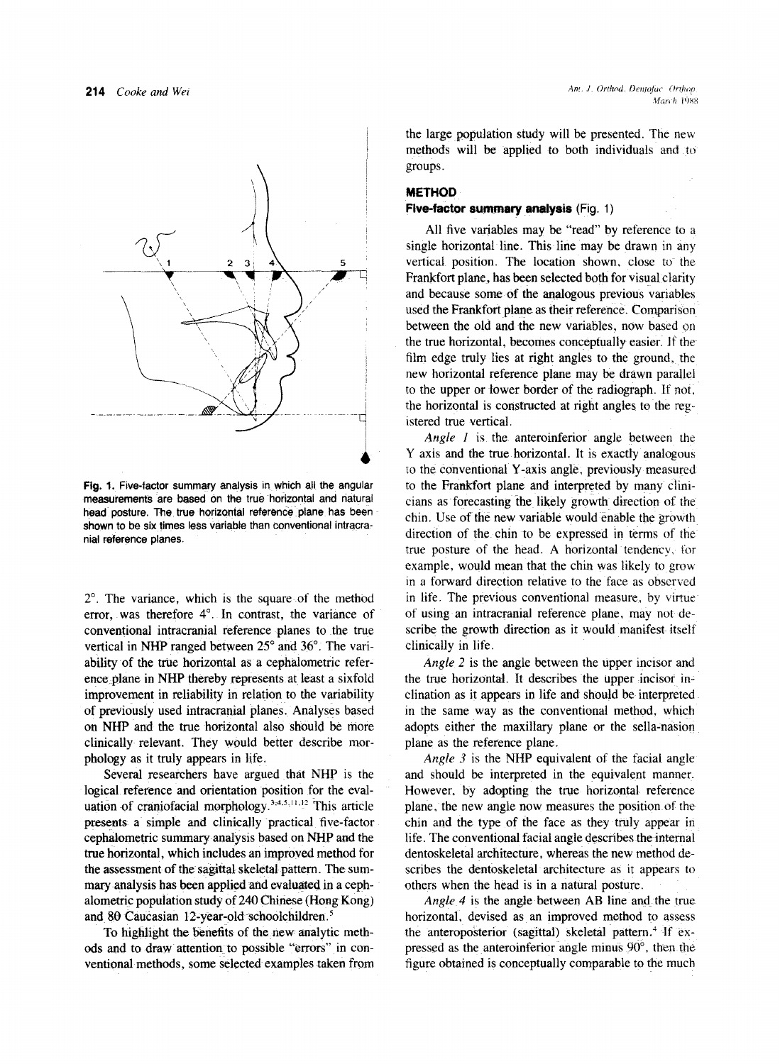

**Fig. 1. Five-factor summary analysis in which all the angular**  measurements are based on the true horizontal and natural **head posture. The true horizontal reference plane has been shown to be six times less Variable than conventional intracra, nial reference planes.** 

 $2^\circ$ . The variance, which is the square of the method error, was therefore 4°. In contrast, the variance of conventional intracranial reference planes to the true vertical in NHP ranged between  $25^{\circ}$  and  $36^{\circ}$ . The variability of the true horizontal as a cephalometric refer: ence plane in NHP thereby represents at least a sixfold improvement in reliability in relation to the variability of previously used intracranial planes. Analyses based on NHP and the true horizontal also should be more clinically relevant. They would better describe morphology as it truly appears in life.

Several researchers have argued that NHP is the logical reference and orientation position for the evaluation of craniofacial morphology.<sup>3;4,5,11,12</sup> This article presents a simple and clinically practical five-factor **cephalometric** summary analysis based on NHP and the true horizontal, which includes an improved method for the assessment of the sagittal skeletal pattern. The summary analysis has been applied and evaluated in a cephalometric population study of 240 Chinese (Hong Kong) and 80 Caucasian 12-year-old schoolchildren.<sup>5</sup>

To highlight the benefits of the new analytic methods and to draw attention to possible "errors" in conventional methods, some selected examples taken from the large population study will be presented. The new methods will be applied to both individuals and to groups.

# **METHOD**

# **Five-factor summary analysis (Fig. 1)**

All five variables may be "read" by reference to a single horizontal line. This line may be drawn in any vertical position. The location shown, close to the Frankfort plane, has been selected both for visual clarity and because some of the analogous previous variables used the Frankfort plane as their reference. Comparison between the old and the new variables, now based on the true horizontal, becomes conceptually easier. If the film edge truly lies at right angles to the ground, the new horizontal reference plane may be drawn parallel to the upper or lower border of the radiograph. If not, the horizontal is constructed at right angles to the registered true vertical.

*Angle 1* is the anteroinferior angle between the Y axis and the true horizontal. It is exactly analogous to the conventional Y-axis angle, previously measured to the Frankfort plane and interpreted by many clinicians as forecasting the likely growth direction of the chin. Use of the new variable would:enable the growth direction of the chin to be expressed in terms of the true posture of the head. A horizontal tendency, for example, would mean that the chin was likely to grow in a forward direction relative to the face as observed in life. The previous conventional measure, by virtue of using an intracranial reference plane, may not describe the growth direction as it would manifest itself clinically in life.

*Angle 2* is the angle between the upper incisor and the true horizontal. It describes the upper :incisor inclination as it appears in life and should be interpreted in the same way as the conventional method, which adopts either the maxillary plane or the sella-nasion plane as the reference plane.

*Angle 3* is the NHP equivalent of the facial angle and should be interpreted in the equivalent manner. However, by adopting the true horizontal reference plane, the new angle now measures the position of the chin and the type of the face as they truly appear in life. The conventional facial angle describes the internal dentoskeletal architecture, whereas the new method describes the dentoskeletal architecture as it appears to others when the head is in a natural posture.

*Angle 4* is the angle between AB line and the true horizontal, devised as an improved method to assess the anteroposterior (sagittal) skeletal pattern.<sup>4</sup> If  $ex$ pressed as the anteroinferior angle minus  $90^\circ$ , then the figure obtained is conceptually comparable to the much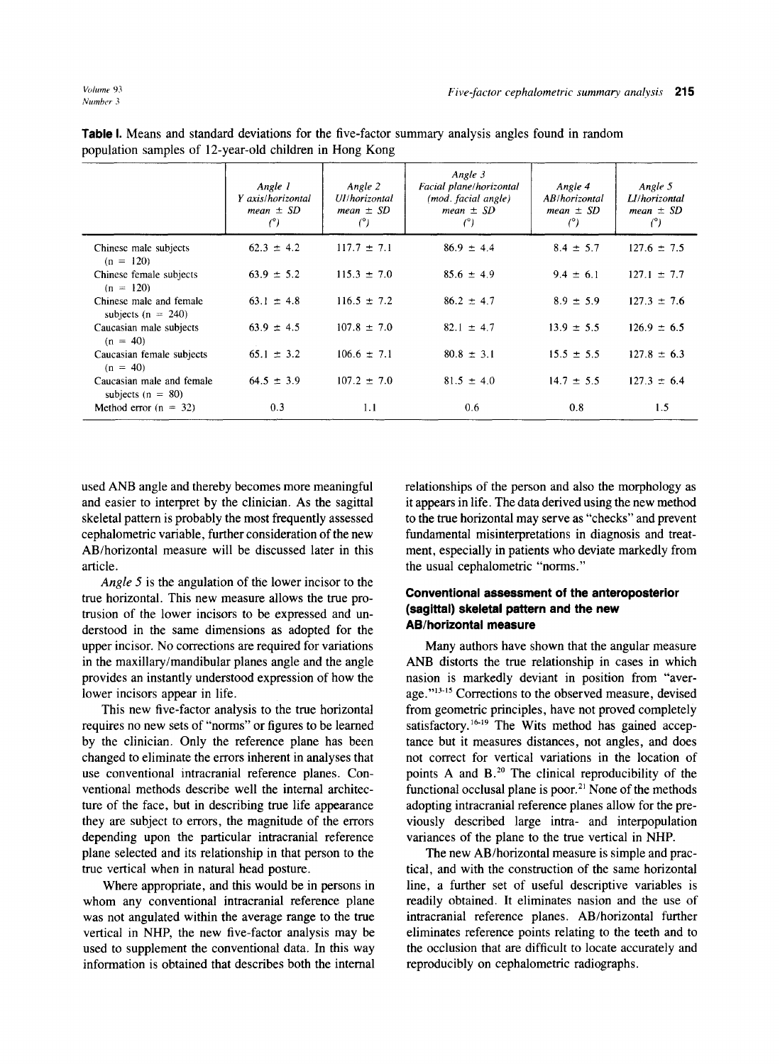# *Number 3*

|                                                   | Angle 1<br>Y axis/horizontal<br>$mean \pm SD$<br>(°) | Angle 2<br>UI/horizontal<br>$mean \pm SD$<br>(°) | Angle 3<br>Facial plane/horizontal<br>(mod. facial angle)<br><i>mean</i> $\pm$ SD<br>$(^\circ)$ | Angle 4<br>AB/horizontal<br>$mean \pm SD$<br>$(^\circ)$ | Angle 5<br>LI/horizontal<br>$mean \pm SD$<br>$(^\circ)$ |
|---------------------------------------------------|------------------------------------------------------|--------------------------------------------------|-------------------------------------------------------------------------------------------------|---------------------------------------------------------|---------------------------------------------------------|
| Chinese male subjects<br>$(n = 120)$              | $62.3 \pm 4.2$                                       | $117.7 \pm 7.1$                                  | $86.9 \pm 4.4$                                                                                  | $8.4 \pm 5.7$                                           | $127.6 \pm 7.5$                                         |
| Chinese female subjects<br>$(n = 120)$            | $63.9 \pm 5.2$                                       | $115.3 \pm 7.0$                                  | $85.6 \pm 4.9$                                                                                  | $9.4 \pm 6.1$                                           | $127.1 \pm 7.7$                                         |
| Chinese male and female<br>subjects ( $n = 240$ ) | $63.1 \pm 4.8$                                       | $116.5 \pm 7.2$                                  | $86.2 \pm 4.7$                                                                                  | $8.9 \pm 5.9$                                           | $127.3 \pm 7.6$                                         |
| Caucasian male subjects<br>$(n = 40)$             | $63.9 \pm 4.5$                                       | $107.8 \pm 7.0$                                  | $82.1 \pm 4.7$                                                                                  | $13.9 \pm 5.5$                                          | $126.9 \pm 6.5$                                         |
| Caucasian female subjects<br>$(n = 40)$           | $65.1 \pm 3.2$                                       | $106.6 \pm 7.1$                                  | $80.8 \pm 3.1$                                                                                  | $15.5 \pm 5.5$                                          | $127.8 \pm 6.3$                                         |
| Caucasian male and female<br>subjects $(n = 80)$  | $64.5 \pm 3.9$                                       | $107.2 \pm 7.0$                                  | $81.5 \pm 4.0$                                                                                  | $14.7 \pm 5.5$                                          | $127.3 \pm 6.4$                                         |
| Method error $(n = 32)$                           | 0.3                                                  | 1.1                                              | 0.6                                                                                             | 0.8                                                     | 1.5                                                     |

**Table** I. Means and standard deviations for the five-factor summary analysis angles found in random population samples of 12-year-old children in Hong Kong

used ANB angle and thereby becomes more meaningful and easier to interpret by the clinician. As the sagittal skeletal pattem is probably the most frequently assessed cephalometric variable, further consideration of the new AB/horizontal measure will be discussed later in this article.

*Angle 5* is the angulation of the lower incisor to the true horizontal. This new measure allows the true protrusion of the lower incisors to be expressed and understood in the same dimensions as adopted for the upper incisor. No corrections are required for variations in the maxillary/mandibular planes angle and the angle provides an instantly understood expression of how the lower incisors appear in life.

This new five-factor analysis to the true horizontal requires no new sets of "norms" or figures to be learned by the clinician. Only the reference plane has been changed to eliminate the errors inherent in analyses that use conventional intracranial reference planes. Conventional methods describe well the internal architecture of the face, but in describing true life appearance they are subject to errors, the magnitude of the errors depending upon the particular intracranial reference plane selected and its relationship in that person to the true vertical when in natural head posture.

Where appropriate, and this would be in persons in whom any conventional intracranial reference plane was not angulated within the average range to the true vertical in NHP, the new five-factor analysis may be used to supplement the conventional data. In this way information is obtained that describes both the internal relationships of the person and also the morphology as it appears in life. The data derived using the new method to the true horizontal may serve as "checks" and prevent fundamental misinterpretations in diagnosis and treatment, especially in patients who deviate markedly from the usual cephalometric "norms."

# **Conventional assessment of the anteroposterior (sagittal) skeletal pattern and the new AB/horizontal measure**

Many authors have shown that the angular measure ANB distorts the true relationship in cases in which nasion is markedly deviant in position from "average."<sup>13-15</sup> Corrections to the observed measure, devised from geometric principles, have not proved completely satisfactory.<sup>16-19</sup> The Wits method has gained acceptance but it measures distances, not angles, and does not correct for vertical variations in the location of points A and  $B<sup>20</sup>$ . The clinical reproducibility of the functional occlusal plane is poor.<sup>21</sup> None of the methods adopting intracranial reference planes allow for the previously described large intra- and interpopulation variances of the plane to the true vertical in NHP.

The new AB/horizontal measure is simple and practical, and with the construction of the same horizontal line, a further set of useful descriptive variables is readily obtained. It eliminates nasion and the use of intracranial reference planes. AB/horizontal further eliminates reference points relating to the teeth and to the occlusion that are difficult to locate accurately and reproducibly on cephalometric radiographs.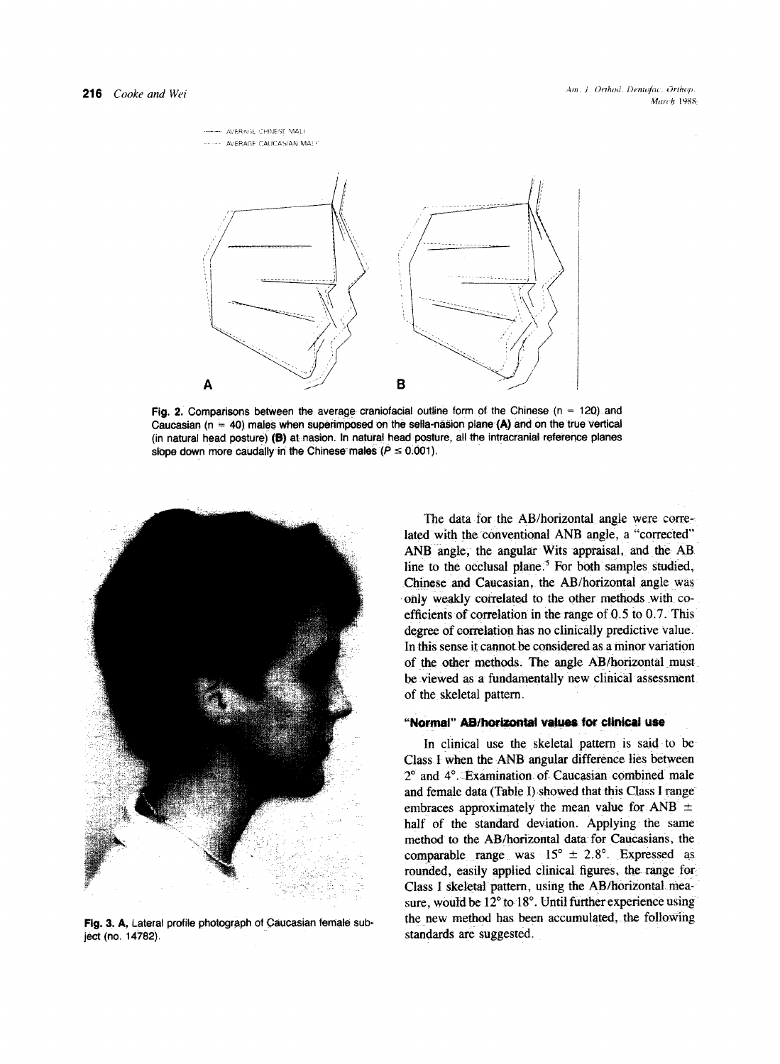

**Fig. 2. Comparisons between the average craniofacial outline form of the Chinese (n = 120) and**  Caucasian (n = 40) males when superimposed on the sella-nasion plane (A) and on the true vertical (in natural head posture) (B) at nasion. In natural head posture, all the intracranial reference planes slope down more caudally in the Chinese males ( $P \le 0.001$ ).



Fig. 3. A, Lateral profile photograph of Caucasian female **sub. ject (no. 14782).** 

The data for the AB/horizontal angle were correlated with the conventional ANB angle, a "corrected" ANB angle; the angular Wits appraisal, and the AB line to the occlusal plane.<sup>5</sup> For both samples studied, Chinese and Caucasian, the AB/horizontal angle was only weakly correlated to the other methods with coefficients of correlation in the range of  $0.5$  to  $0.7$ . This degree of correlation has no clinically predictive value. In this sense it cannotbe considered as a minor variation of the other methods. The angle AB/horizontal must be viewed as a fundamentally new clinical assessment of the skeletal pattern.

#### "Normal" AB/horizontal values for clinical use

In clinical use the skeletal pattern is said to be Class I when the ANB angular difference lies between 2° and 4°. Examination of Caucasian combined male and female data (Table I) showed that this Class I range embraces approximately the mean value for ANB  $\pm$ half of the standard deviation. Applying the same method to the AB/horizontal data for Caucasians, the comparable range was  $15^{\circ} \pm 2.8^{\circ}$ . Expressed as rounded, easily applied clinical figures, the range for Class I skeletal pattern, using the AB/horizontal measure, would be  $12^{\circ}$  to  $18^{\circ}$ . Until further experience using the new method has been accumulated, the following standards are suggested.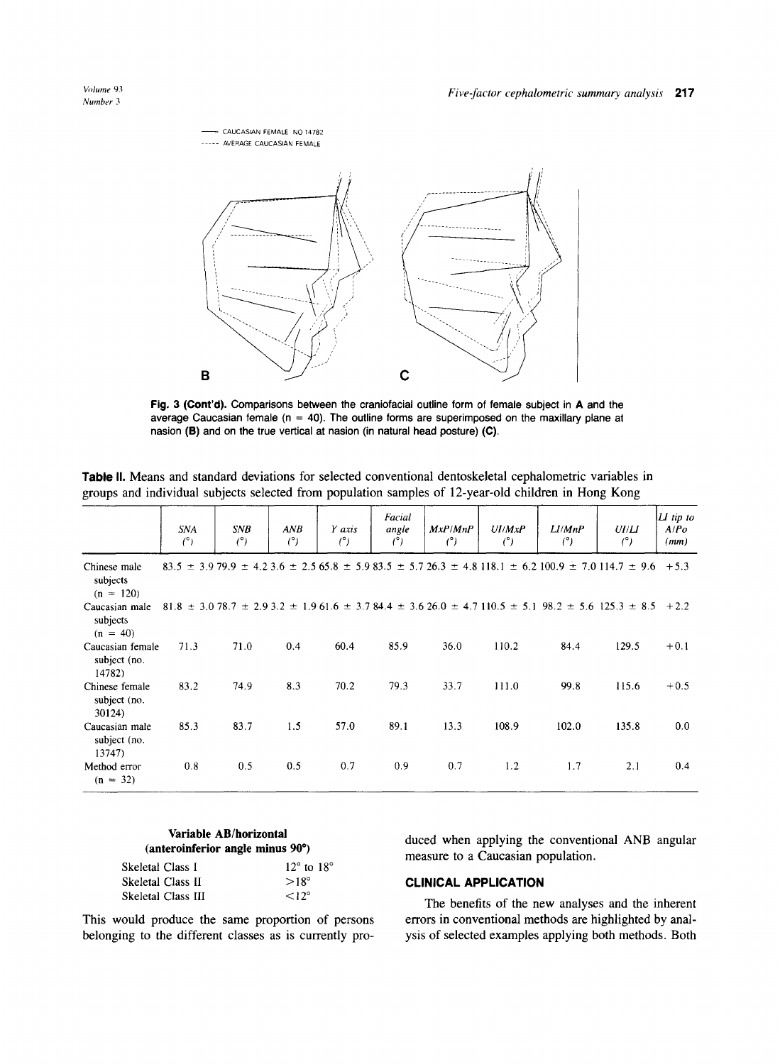

**Fig. 3 (Cont'd). Comparisons between the craniofacial outline form of female subject in A and the average Caucasian female (n = 40). The outline forms are superimposed on the maxillary plane at nasion (B) and on the true vertical at nasion (in natural head posture) (C).** 

|                                            | <b>SNA</b><br>(°) | <b>SNB</b><br>$(^\circ)$ | AND<br>(°) | Y axis<br>$(^\circ)$ | Facial<br>angle<br>(°) | MxP/MnP<br>$(^\circ)$ | UI/MxP<br>(°) | L I/MnP<br>(°) | <b>UI/LI</b><br>(°)                                                                                                                 | LI tip to<br>A/Po<br>(mm) |
|--------------------------------------------|-------------------|--------------------------|------------|----------------------|------------------------|-----------------------|---------------|----------------|-------------------------------------------------------------------------------------------------------------------------------------|---------------------------|
| Chinese male<br>subjects<br>$(n = 120)$    | 83.5              |                          |            |                      |                        |                       |               |                | $\pm$ 3.9 79.9 $\pm$ 4.2 3.6 $\pm$ 2.5 65.8 $\pm$ 5.9 83.5 $\pm$ 5.7 26.3 $\pm$ 4.8 118.1 $\pm$ 6.2 100.9 $\pm$ 7.0 114.7 $\pm$ 9.6 | $+5.3$                    |
| Caucasian male<br>subjects<br>$(n = 40)$   |                   |                          |            |                      |                        |                       |               |                | $81.8 \pm 3.078.7 \pm 2.93.2 \pm 1.961.6 \pm 3.784.4 \pm 3.626.0 \pm 4.7110.5 \pm 5.198.2 \pm 5.6125.3 \pm 8.5$                     | $+2.2$                    |
| Caucasian female<br>subject (no.<br>14782) | 71.3              | 71.0                     | 0.4        | 60.4                 | 85.9                   | 36.0                  | 110.2         | 84.4           | 129.5                                                                                                                               | $+0.1$                    |
| Chinese female<br>subject (no.<br>30124)   | 83.2              | 74.9                     | 8.3        | 70.2                 | 79.3                   | 33.7                  | 111.0         | 99.8           | 115.6                                                                                                                               | $+0.5$                    |
| Caucasian male<br>subject (no.<br>13747)   | 85.3              | 83.7                     | 1.5        | 57.0                 | 89.1                   | 13.3                  | 108.9         | 102.0          | 135.8                                                                                                                               | 0.0                       |
| Method error<br>$(n = 32)$                 | 0.8               | 0.5                      | 0.5        | 0.7                  | 0.9                    | 0.7                   | 1.2           | 1.7            | 2.1                                                                                                                                 | 0.4                       |

**Table** II. Means and standard deviations for selected conventional dentoskeletal cephalometric variables in groups and individual subjects selected from population samples of 12-year-old children in Hong Kong

| Variable AB/horizontal                     |  |  |
|--------------------------------------------|--|--|
| $(antero inferior angle minus 90^{\circ})$ |  |  |

| Skeletal Class I   | $12^{\circ}$ to $18^{\circ}$ |
|--------------------|------------------------------|
| Skeletal Class II  | $>18^{\circ}$                |
| Skeletal Class III | $\leq$ 12°                   |

This would produce the same proportion of persons belonging to the different classes as is currently produced when applying the conventional ANB angular measure to a Caucasian population.

# **CLINICAL APPLICATION**

The benefits of the new analyses and the inherent errors in conventional methods are highlighted by analysis of selected examples applying both methods. Both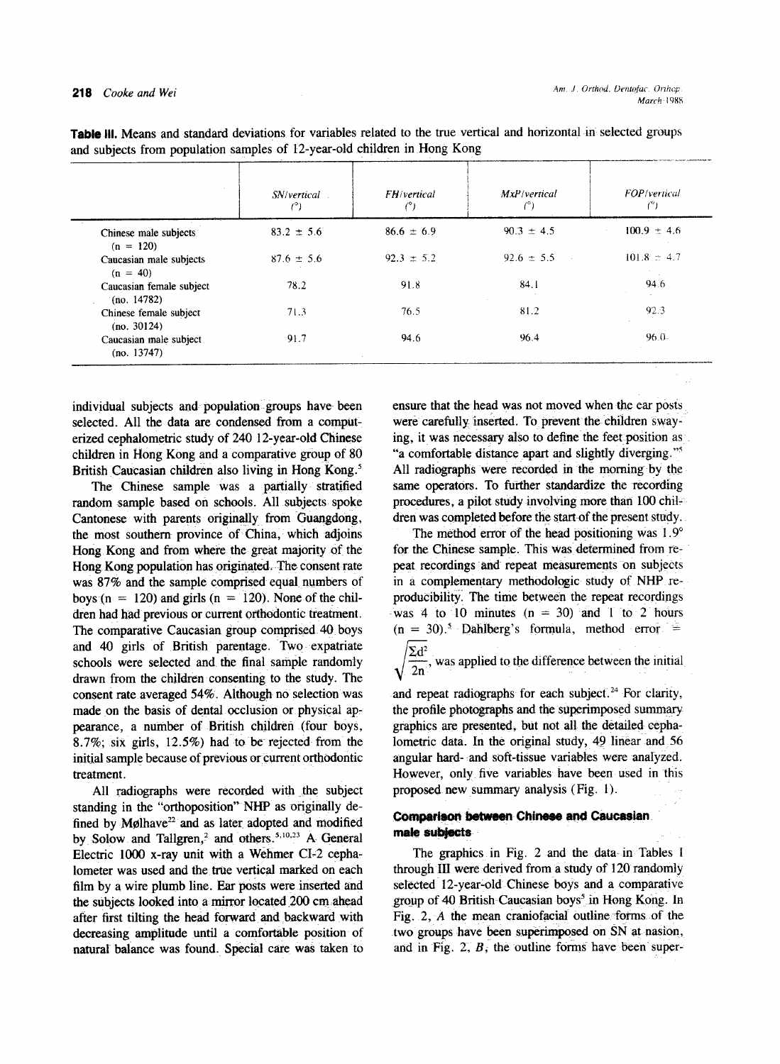|                                         | SN/vertical<br>$(^\circ)$ | FH/vertical<br>$(^\circ)$ | MxP/vertical<br>$(^\circ)$ | FOP/vertical<br>$(^\circ)$ |
|-----------------------------------------|---------------------------|---------------------------|----------------------------|----------------------------|
| Chinese male subjects<br>$(n = 120)$    | $83.2 \pm 5.6$            | $86.6 \pm 6.9$            | $90.3 \pm 4.5$             | $100.9 \pm 4.6$            |
| Caucasian male subjects<br>$(n = 40)$   | $87.6 \pm 5.6$            | $92.3 \pm 5.2$            | $92.6 \pm 5.5$             | $101.8 \pm 4.7$            |
| Caucasian female subject<br>(no. 14782) | 78.2                      | 91.8                      | 84.1                       | 94.6                       |
| Chinese female subject<br>(no. 30124)   | 71.3                      | 76.5                      | 81.2                       | 92.3                       |
| Caucasian male subject<br>(no. 13747)   | 91.7                      | 94.6                      | 96.4                       | 96.0.                      |

**Table** IlL Means and standard deviations for variables related to the true vertical and horizontal in selected groups and subjects from population samples of 12-year-old children in Hong Kong

individual subjects and population groups have been selected. All the data are condensed from a computerized cephalometric study of 240 12-year-old Chinese children in Hong Kong and a comparative group of 80 British Caucasian children also living in Hong Kong.<sup>5</sup>

The Chinese sample was a partially stratified random sample based on schools. All subjects spoke Cantonese with parents originally from Guangdong, the most southern province of China, which adjoins Hong Kong and from where the great majority of the Hong Kong population has originated. The consent rate was 87% and the sample comprised equal numbers of boys (n = 120) and girls (n = 120). None of the children had had previous or current orthodontic treatment. The comparative Caucasian group comprised 40 boys and 40 girls of British parentage. Two expatriate schools were selected and the final sample randomly drawn from the children consenting to the study. The consent rate averaged 54%. Although no selection was made on the basis of dental occlusion or physical appearance, a number of British children (four boyS, 8.7%; six girls, 12.5%) had to be rejected from the initial sample because of previous or current orthodontic treatment.

All radiographs were recorded with the subject standing in the "orthoposition" NHP as originally defined by  $M\phi$ lhave<sup>22</sup> and as later adopted and modified by Solow and Tallgren,<sup>2</sup> and others.<sup>5,10,23</sup> A- General Electric 1000 x-ray unit with a Wehmer CI~2 cephalometer was used and the true vertical marked on each film by a wire plumb line. Ear posts were inserted and the subjects looked into a mirror located 200 cm ahead after first tilting the head forward and backward with decreasing amplitude until a comfortable position of natural balance was found. Special care was taken to ensure that the head was not moved when the ear posts were carefully inserted. To prevent the children Swaying, it was necessary also to define the feet position as: "a comfortable distance apart and slightly diverging. ''5 All radiographs were recorded in the morning by the same operators. To further standardize the recording procedures, a pilot study involving more than 100 children was completed before the start of the present study.

The method error of the head positioning was  $1.9^{\circ}$ for the Chinese sample. This was determined from repeat recordings and repeat measurements on subjects in a complementary methodologic study of NHP reprodueibility. The time between the repeat recordings was 4 to 10 minutes  $(n = 30)$  and 1 to 2 hours  $(n = 30)^5$  Dahlberg's formula, method error  $\equiv$ 

 $\sqrt{\frac{\Sigma d^2}{2n}}$ , was applied to the difference between the initial

and repeat radiographs for each subject.<sup>24</sup> For clarity, the profile photographs and the superimposed summary graphics are presented, but not all the detailed cephalometric data. In the original study, 49 linear and 56 angular hard- and soft-tissue variables were analyzed. However, only five variables have been used in this proposed new summary analysis (Fig. 1).

# **Comparison between Chinese and Caucasian** male subjects

The graphics in Fig. 2 and the data in Tables l through ili were derived from a study of 120 randomly selected 12-year-old Chinese boys and a comparative group of 40 British Caucasian boys<sup>5</sup> in Hong Kong. In Fig. 2,  $A$  the mean craniofacial outline forms of the two groups have been superimposed on SN at nasion, and in Fig.  $2$ ,  $B$ , the outline forms have been super-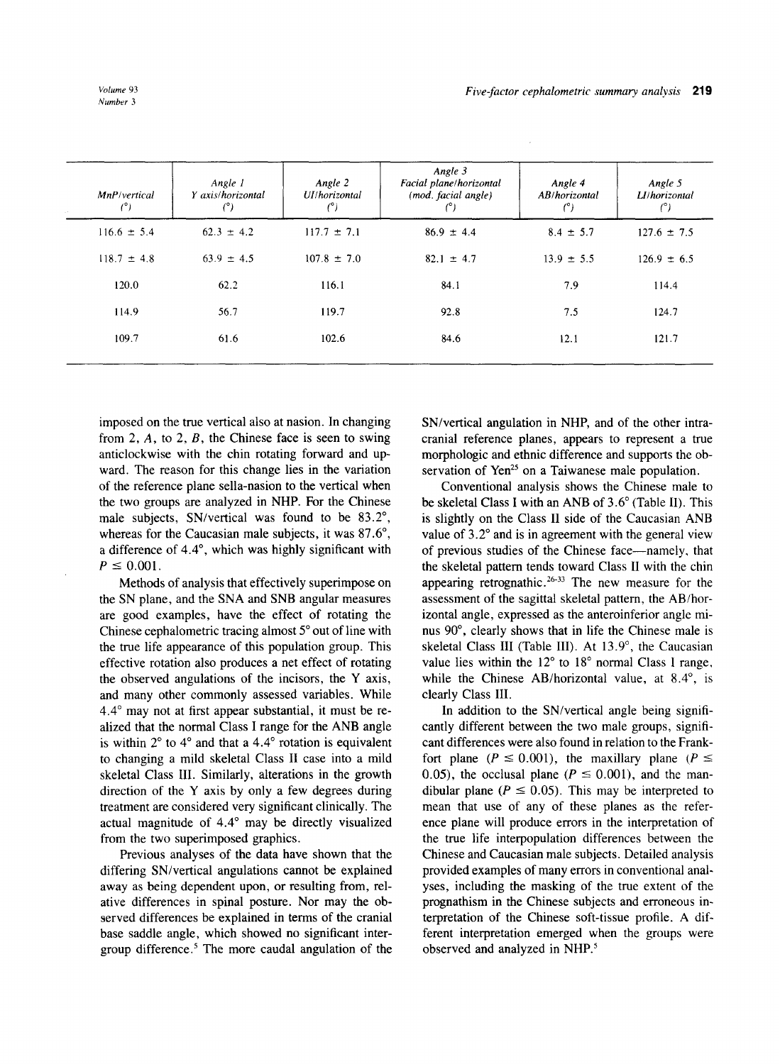| MnP/vertical<br>(°) | Angle 1<br>Y axis/horizontal<br>(°) | Angle 2<br><b>UI/horizontal</b><br>(°) | Angle 3<br>Facial plane/horizontal<br>(mod. facial angle)<br>$(^\circ)$ | Angle 4<br>AB/horizontal<br>$(^\circ)$ | Angle 5<br>LI/horizontal<br>$(^\circ)$ |
|---------------------|-------------------------------------|----------------------------------------|-------------------------------------------------------------------------|----------------------------------------|----------------------------------------|
| $116.6 \pm 5.4$     | $62.3 \pm 4.2$                      | $117.7 \pm 7.1$                        | $86.9 \pm 4.4$                                                          | $8.4 \pm 5.7$                          | $127.6 \pm 7.5$                        |
| $118.7 \pm 4.8$     | $63.9 \pm 4.5$                      | $107.8 \pm 7.0$                        | $82.1 \pm 4.7$                                                          | $13.9 \pm 5.5$                         | $126.9 \pm 6.5$                        |
| 120.0               | 62.2                                | 116.1                                  | 84.1                                                                    | 7.9                                    | 114.4                                  |
| 114.9               | 56.7                                | 119.7                                  | 92.8                                                                    | 7.5                                    | 124.7                                  |
| 109.7               | 61.6                                | 102.6                                  | 84.6                                                                    | 12.1                                   | 121.7                                  |

imposed on the true vertical also at nasion. In changing from 2,  $A$ , to 2,  $B$ , the Chinese face is seen to swing anticlockwise with the chin rotating forward and upward. The reason for this change lies in the variation of the reference plane sella-nasion to the vertical when the two groups are analyzed in NHP. For the Chinese male subjects, SN/vertical was found to be 83.2°, whereas for the Caucasian male subjects, it was 87.6°, a difference of 4.4°, which was highly significant with  $P \le 0.001$ .

Methods of analysis that effectively superimpose on the SN plane, and the SNA and SNB angular measures are good examples, have the effect of rotating the Chinese cephalometric tracing almost  $5^{\circ}$  out of line with the true life appearance of this population group. This effective rotation also produces a net effect of rotating the observed angulations of the incisors, the Y axis, and many other commonly assessed variables. While 4.4 ° may not at first appear substantial, it must be realized that the normal Class I range for the ANB angle is within  $2^{\circ}$  to  $4^{\circ}$  and that a 4.4 $^{\circ}$  rotation is equivalent to changing a mild skeletal Class II case into a mild skeletal Class III. Similarly, alterations in the growth direction of the Y axis by only a few degrees during treatment are considered very significant clinically. The actual magnitude of 4.4° may be directly visualized from the two superimposed graphics.

Previous analyses of the data have shown that the differing SN/vertical angulations cannot be explained away as being dependent upon, or resulting from, relative differences in spinal posture. Nor may the observed differences be explained in terms of the cranial base saddle angle, which showed no significant intergroup difference.<sup>5</sup> The more caudal angulation of the SN/vertical angulation in NHP, and of the other intracranial reference planes, appears to represent a true morphologic and ethnic difference and supports the observation of Yen<sup>25</sup> on a Taiwanese male population.

Conventional analysis shows the Chinese male to be skeletal Class I with an ANB of 3.6° (Table II). This is slightly on the Class II side of the Caucasian ANB value of  $3.2^{\circ}$  and is in agreement with the general view of previous studies of the Chinese face—namely, that the skeletal pattern tends toward Class lI with the chin appearing retrognathic. 26-33 The new measure for the assessment of the sagittal skeletal pattern, the AB/horizontal angle, expressed as the anteroinferior angle minus 90°, clearly shows that in life the Chinese male is skeletal Class III (Table III). At 13.9°, the Caucasian value lies within the  $12^{\circ}$  to  $18^{\circ}$  normal Class I range, while the Chinese AB/horizontal value, at  $8.4^\circ$ , is clearly Class III.

In addition to the SN/vertical angle being significantly different between the two male groups, significant differences were also found in relation to the Frankfort plane ( $P \le 0.001$ ), the maxillary plane ( $P \le$ 0.05), the occlusal plane ( $P \le 0.001$ ), and the mandibular plane ( $P \le 0.05$ ). This may be interpreted to mean that use of any of these planes as the reference plane will produce errors in the interpretation of the true life interpopulation differences between the Chinese and Caucasian male subjects. Detailed analysis provided examples of many errors in conventional analyses, including the masking of the true extent of the prognathism in the Chinese subjects and erroneous interpretation of the Chinese soft-tissue profile. A different interpretation emerged when the groups were observed and analyzed in NHP.<sup>5</sup>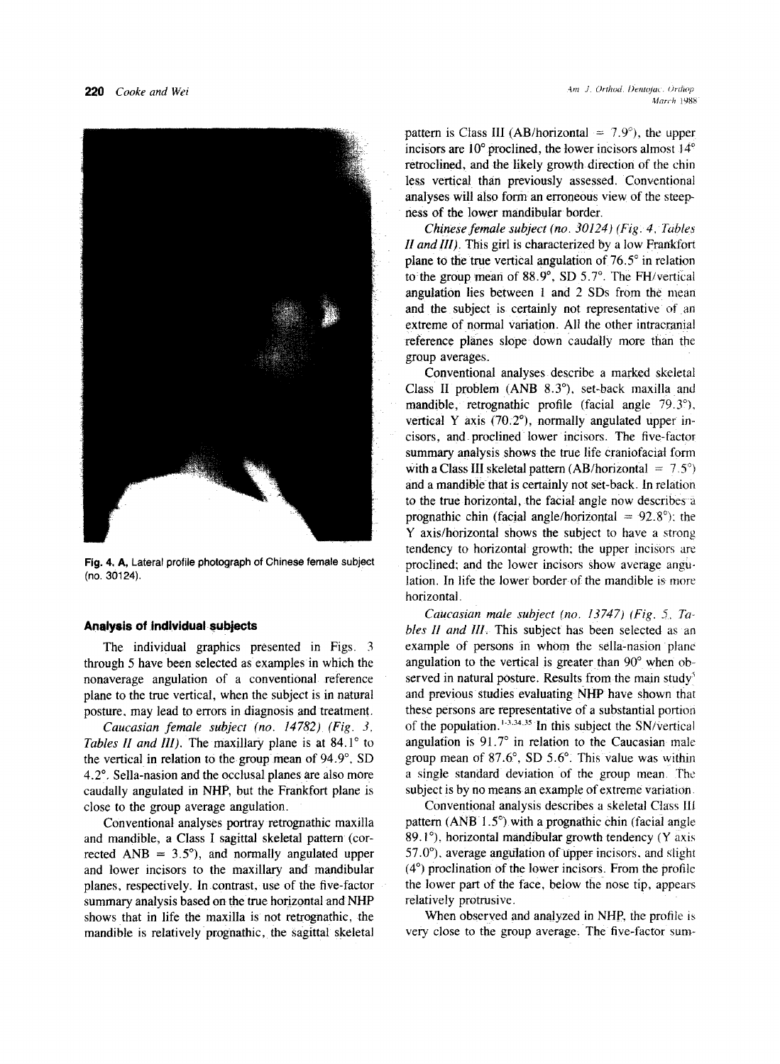

**Fig. 4, A, Lateral profile photograph of Chinese female** subject (no. 30124).

#### **Analysis of .individual subjects**

The individual graphics presented in Figs. 3 through 5 have been selected as examples in which the nonaverage angulation of a conventional reference plane to the true vertical, when the subject is in natural posture, may lead to errors in diagnosis and treatment.

*Caucasian female subject (no. 14782) (Fig. 3, Tables II and III*). The maxillary plane is at 84.1° to the vertical in relation to the group mean of  $94.9^{\circ}$ , SD 4.2 °, Sella-nasion and the occtusal planes are also more caudally angulated in NHP, but the Frankfort plane is close to the group average angulation,

Conventional analyses portray retrognathic maxilla and mandible, a Class I sagittal skeletal pattern (corrected ANB  $= 3.5^{\circ}$ , and normally angulated upper and lower incisors to the maxillary and mandibular planes, respectively. In contrast, use of the five-factor summary analysis based on the true horizontal and NHP shows that in life the maxilla is not retrognathie, the mandible is relatively prognathic, the sagittal skeletal

pattern is Class III (AB/horizontal =  $7.9^{\circ}$ ), the upper incisors are  $10^{\circ}$  proclined, the lower incisors almost  $14^{\circ}$ retroclined, and the likely growth direction of the chin less vertical than previously assessed. Conventiona! analyses will also form an erroneous view of the steepness of the lower mandibular border.

*Chinese female subject (no. 30124) (Fig. 4, Tables H and III).* This girl is characterized by a low Frankfort plane to the true vertical angulation of  $76.5^\circ$  in relation to the group mean of  $88.9^\circ$ , SD  $5.7^\circ$ . The FH/vertical angulation lies between 1 and 2 SDs from the mean and the subject is certainly not representative of an extreme of normal Variation. All the other intracranial reference planes slope down caudally more than the group averages.

Conventional analyses describe a marked skeletal Class II problem (ANB 8.3°), set-back maxilla and mandible, retrognathic profile (facial angle  $79.3^{\circ}$ ), vertical Y axis (70:2°), normally angulated upper incisors, and proc!ined lower incisors. The five-factor summary analysis shows the true life craniofacial form with a Class III skeletal pattern (AB/horizontal =  $7.5^{\circ}$ ) and a mandible that is certainly not set-back. In relation to the true horizontal, the facial angle now describes prognathic chin (facial angle/horizontal  $= 92.8^{\circ}$ ); the Y axis/horizontal shows the subject to have a strong tendency to horizontal growth; the upper incisors are proclined; and the lower incisors Show average angulation. In life the lower border of the mandible is more horizontal.

*Caucasian male subject (no, 13747) (Fig. 5, Tabtes H and II1,* This subject has been selected as an example of persons in whom the sella-nasion plane angulation to the vertical is greater than  $90^{\circ}$  when observed in natural posture. Results from the main study<sup>5</sup> and previous studies evaluating NHP have shown that these persons are representative of a substantial portion of the population.  $1-3.34.35$  In this subject the SN/vertical angulation is  $91.7^\circ$  in relation to the Caucasian male group mean of  $87.6^\circ$ , SD  $5.6^\circ$ . This value was within a single standard deviation of the group mean, The subject is by no means an example of extreme variation.

Conventional analysis describes a skeletal Class II! pattern (ANB  $1.5^{\circ}$ ) with a prognathic chin (facial angle  $89.1^{\circ}$ ), horizontal mandibular growth tendency (Y axis 57.0°), average angulation of upper incisors, and slight  $(4^{\circ})$  proclination of the lower incisors. From the profile the lower part of the face, below the nose tip, appears relatively protrusive.

When observed and analyzed in NHP, the profile is very close to the group average. The five-factor sum-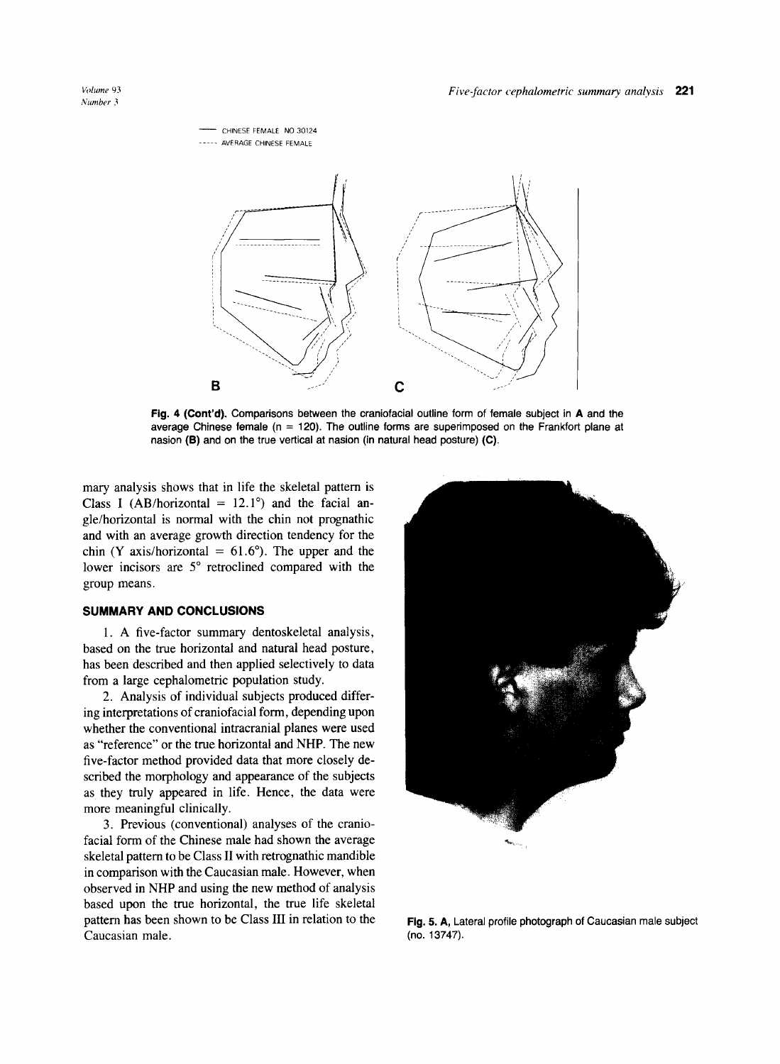

Fig. 4 (Cont'd). Comparisons between the craniofacial outline form of female subject in A and the average Chinese female ( $n = 120$ ). The outline forms are superimposed on the Frankfort plane at nasion (B) and on the true vertical at nasion (in natural head posture) (C).

mary analysis shows that in life the skeletal pattem is Class I (AB/horizontal =  $12.1^{\circ}$ ) and the facial angle/horizontal is normal with the chin not prognathic and with an average growth direction tendency for the chin (Y axis/horizontal =  $61.6^{\circ}$ ). The upper and the lower incisors are  $5^\circ$  retroclined compared with the group means.

# **SUMMARY AND CONCLUSIONS**

1. A five-factor summary dentoskeletal analysis, based on the true horizontal and natural head posture, has been described and then applied selectively to data from a large cephalometric population study.

2. Analysis of individual subjects produced differing interpretations of craniofacial form, depending upon whether the conventional intracranial planes were used as "reference" or the true horizontal and NHP. The new five-factor method provided data that more closely described the morphology and appearance of the subjects as they truly appeared in life. Hence, the data were more meaningful clinically.

3. Previous (conventional) analyses of the craniofacial form of the Chinese male had shown the average skeletal pattern to be Class II with retrognathic mandible in comparison with the Caucasian male. However, when observed in NHP and using the new method of analysis based upon the true horizontal, the true life skeletal pattern has been shown to be Class III in relation to the Caucasian male.



Fig. 5. A, Lateral profile photograph of Caucasian male subject (no. 13747).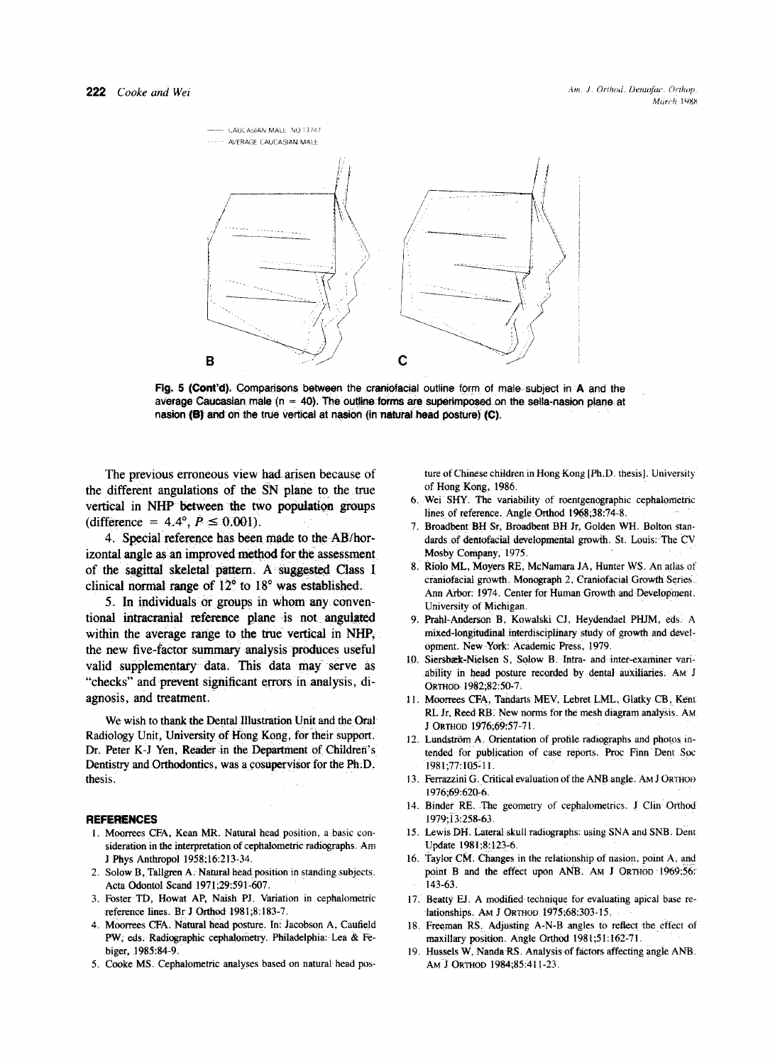

Fig. 5 (Cont'd). Comparisons between the craniofacial outline form of male-subject in A and the average Caucasian male (n = 40). The outline forms are superimposed on the sella-nasion plane at **nasion (B) and on the true vertical at nasion (in natumi head posture) (C).** 

**The previous erroneous view had arisen because of the different angulations of the SN plane to the true vertical in NHP between the two population groups**   $\text{(difference = } 4.4^{\circ}, P \leq 0.001).$ 

4. Special reference has been made to the AB/horizontal angle as an improved method for the assessment of the sagittal skeletal pattern. A suggested Class I clinical normal range of  $12^{\circ}$  to  $18^{\circ}$  was established.

**5. In individuals or groups in whom any conven**tional intracranial reference plane is not angulated within the average range to the true vertical in NHP, the new five-factor summary analysis produces useful valid supplementary data. This data may serve as "checks" and prevent significant errors in analysis, diagnosis, and treatment.

We wish to thank the Dental Illustration Unit and the Oral Radiology Unit, University of Hong Kong, for their support. Dr, Peter K-J Yen, Reader in the Department of Children's Dentistry and Orthodontics, was a cosupervisor for the Ph:D. thesis.

#### **REFERENCES**

- 1. Moerrees CFA, Kean MR: Natural head position, a basic consideration in the interpretation of cephalometric radiographs. Am J Phys Anthropol 1958;16:213-34.
- 2. Solow B, Tallgren A. Natural head position in standing subjects. Acta Odontol Scand 1971;29:591-607.
- 3. Foster TD, Howat AP, Naish PJ. Variation in cephalometric reference lines. Br J Orthod 1981;8:183-7.
- 4. Moorrees CFA. Natural head posture. In: Jacobson A, Caufield PW; eds; Radiographic cephalometry. Philadelphia: Lea & Febiger, 1985:84-9.
- 5. Cooke MS. Cephalometric analyses based on natural head pos-

ture of Chinese children in Hong Kong [Ph.D. thesis]. University of Hong Kong, 1986.

- 6. Wei SHY. The variability of roentgenographic cephalometric lines of reference. Angle Orthod 1968;38:74-8.
- 7. Broadbent BH Sr, Broadbent BH Jr, Golden WH. Bolton standards of dentofacial developmental growth. St. Louis: The CV Mosby Company, 1975.
- 8. Riolo ML, M0yers RE, McNamara JA, Hunter WS. An atlas of craniofacial growth. Monograph 2, Craniofacial Growth Series. Ann Arbor: 1974. Center for Human Growth and Development. University of Michigan.
- 9. Prahl-Anderson B, Kowalski CJ, Heydendael PHJM, eds. A mixed-longitudinal interdisciplinary study of growth and development. New:York: Academic Press, 1979.
- 10. Siersbæk-Nielsen S, Solow B. Intra- and inter-examiner variability in head posture recorded by dental auxiiiaries: AM J ORTHOD 1982;82!50-7~
- 11. Moorrees CFA, Tandarts MEV, Lebret LML, Glatky CB, Kent RL Jr, Reed RB: New norms for the mesh diagram analysis. AM J ORTHOO 1976;69:57-7 t.
- 12. Lundström A. Orientation of profile radiographs and photos intended for publication of case reports. Proc Finn Dent Soc i981;77:105211.
- 13. Ferrazzini G. Critical evaluation of the ANB angle. AM J ORTHOD 1976;69:620-6.
- 14. Binder RE. The geometry of cephalometrics. J Clin Orthod 1979;13:258-63.
- 15. Lewis DH. Lateral skull radiographs: using SNA and SNB. Dent Update 1981:8:123-6.
- 16. Taylor CM. Changes in the relationship of nasion, point A, and. point B and the effect upon ANB. AM J ORTHOD 1969;56. 143-63.
- 17. Beatty EJ. A modified technique for evaluating apical base relationships. AM J ORTHOD 1975;68:303-15.
- 18. Freeman RS. Adjusting A-N-B angles to reflect the effect of maxillary position. Angle Orthod 1981;51:162-71.
- 19. Hussels W, Nanda RS. Analysis of factors affecting angle ANB. AM J ORTHOD 1984;85:411-23.